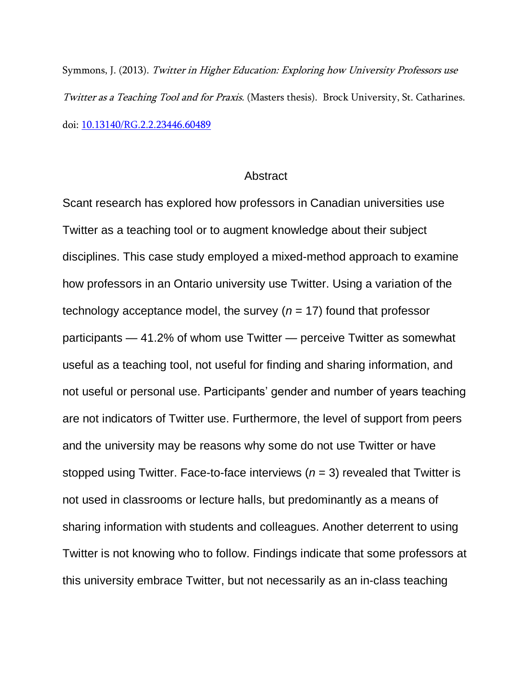Symmons, J. (2013). Twitter in Higher Education: Exploring how University Professors use Twitter as a Teaching Tool and for Praxis. (Masters thesis). Brock University, St. Catharines. doi: [10.13140/RG.2.2.23446.60489](https://www.researchgate.net/publication/331642376_An_Exploration_of_Professors)

## **Abstract**

Scant research has explored how professors in Canadian universities use Twitter as a teaching tool or to augment knowledge about their subject disciplines. This case study employed a mixed-method approach to examine how professors in an Ontario university use Twitter. Using a variation of the technology acceptance model, the survey  $(n = 17)$  found that professor participants — 41.2% of whom use Twitter — perceive Twitter as somewhat useful as a teaching tool, not useful for finding and sharing information, and not useful or personal use. Participants' gender and number of years teaching are not indicators of Twitter use. Furthermore, the level of support from peers and the university may be reasons why some do not use Twitter or have stopped using Twitter. Face-to-face interviews (*n* = 3) revealed that Twitter is not used in classrooms or lecture halls, but predominantly as a means of sharing information with students and colleagues. Another deterrent to using Twitter is not knowing who to follow. Findings indicate that some professors at this university embrace Twitter, but not necessarily as an in-class teaching